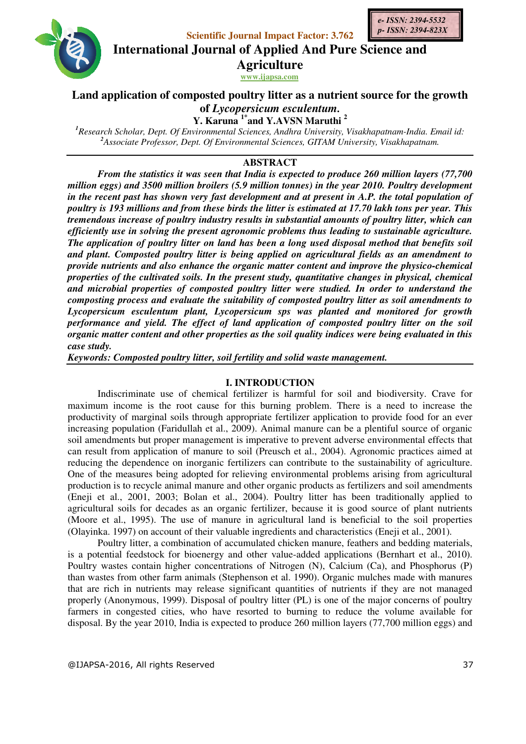



**Scientific Journal Impact Factor: 3.762 International Journal of Applied And Pure Science and** 

**Agriculture**

**www.ijapsa.com** 

# **Land application of composted poultry litter as a nutrient source for the growth of** *Lycopersicum esculentum.*

**Y. Karuna 1\*and Y.AVSN Maruthi <sup>2</sup>**

*1 Research Scholar, Dept. Of Environmental Sciences, Andhra University, Visakhapatnam-India. Email id: 2 Associate Professor, Dept. Of Environmental Sciences, GITAM University, Visakhapatnam.* 

# **ABSTRACT**

*From the statistics it was seen that India is expected to produce 260 million layers (77,700 million eggs) and 3500 million broilers (5.9 million tonnes) in the year 2010. Poultry development in the recent past has shown very fast development and at present in A.P. the total population of poultry is 193 millions and from these birds the litter is estimated at 17.70 lakh tons per year. This tremendous increase of poultry industry results in substantial amounts of poultry litter, which can efficiently use in solving the present agronomic problems thus leading to sustainable agriculture. The application of poultry litter on land has been a long used disposal method that benefits soil and plant. Composted poultry litter is being applied on agricultural fields as an amendment to provide nutrients and also enhance the organic matter content and improve the physico-chemical properties of the cultivated soils. In the present study, quantitative changes in physical, chemical and microbial properties of composted poultry litter were studied. In order to understand the composting process and evaluate the suitability of composted poultry litter as soil amendments to Lycopersicum esculentum plant, Lycopersicum sps was planted and monitored for growth performance and yield. The effect of land application of composted poultry litter on the soil organic matter content and other properties as the soil quality indices were being evaluated in this case study.* 

*Keywords: Composted poultry litter, soil fertility and solid waste management.* 

# **I. INTRODUCTION**

Indiscriminate use of chemical fertilizer is harmful for soil and biodiversity. Crave for maximum income is the root cause for this burning problem. There is a need to increase the productivity of marginal soils through appropriate fertilizer application to provide food for an ever increasing population (Faridullah et al., 2009). Animal manure can be a plentiful source of organic soil amendments but proper management is imperative to prevent adverse environmental effects that can result from application of manure to soil (Preusch et al., 2004). Agronomic practices aimed at reducing the dependence on inorganic fertilizers can contribute to the sustainability of agriculture. One of the measures being adopted for relieving environmental problems arising from agricultural production is to recycle animal manure and other organic products as fertilizers and soil amendments (Eneji et al., 2001, 2003; Bolan et al., 2004). Poultry litter has been traditionally applied to agricultural soils for decades as an organic fertilizer, because it is good source of plant nutrients (Moore et al., 1995). The use of manure in agricultural land is beneficial to the soil properties (Olayinka. 1997) on account of their valuable ingredients and characteristics (Eneji et al., 2001).

Poultry litter, a combination of accumulated chicken manure, feathers and bedding materials, is a potential feedstock for bioenergy and other value-added applications (Bernhart et al., 2010). Poultry wastes contain higher concentrations of Nitrogen (N), Calcium (Ca), and Phosphorus (P) than wastes from other farm animals (Stephenson et al. 1990). Organic mulches made with manures that are rich in nutrients may release significant quantities of nutrients if they are not managed properly (Anonymous, 1999). Disposal of poultry litter (PL) is one of the major concerns of poultry farmers in congested cities, who have resorted to burning to reduce the volume available for disposal. By the year 2010, India is expected to produce 260 million layers (77,700 million eggs) and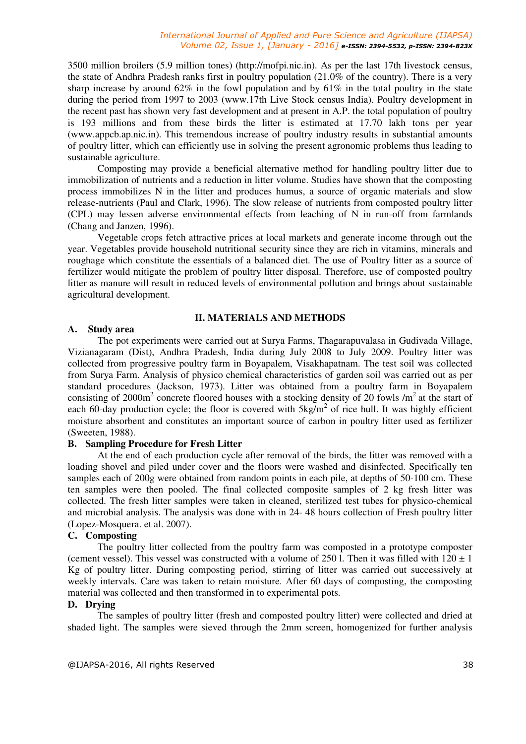3500 million broilers (5.9 million tones) (http://mofpi.nic.in). As per the last 17th livestock census, the state of Andhra Pradesh ranks first in poultry population (21.0% of the country). There is a very sharp increase by around  $62\%$  in the fowl population and by  $61\%$  in the total poultry in the state during the period from 1997 to 2003 (www.17th Live Stock census India). Poultry development in the recent past has shown very fast development and at present in A.P. the total population of poultry is 193 millions and from these birds the litter is estimated at 17.70 lakh tons per year (www.appcb.ap.nic.in). This tremendous increase of poultry industry results in substantial amounts of poultry litter, which can efficiently use in solving the present agronomic problems thus leading to sustainable agriculture.

Composting may provide a beneficial alternative method for handling poultry litter due to immobilization of nutrients and a reduction in litter volume. Studies have shown that the composting process immobilizes N in the litter and produces humus, a source of organic materials and slow release-nutrients (Paul and Clark, 1996). The slow release of nutrients from composted poultry litter (CPL) may lessen adverse environmental effects from leaching of N in run-off from farmlands (Chang and Janzen, 1996).

Vegetable crops fetch attractive prices at local markets and generate income through out the year. Vegetables provide household nutritional security since they are rich in vitamins, minerals and roughage which constitute the essentials of a balanced diet. The use of Poultry litter as a source of fertilizer would mitigate the problem of poultry litter disposal. Therefore, use of composted poultry litter as manure will result in reduced levels of environmental pollution and brings about sustainable agricultural development.

## **II. MATERIALS AND METHODS**

## **A. Study area**

 The pot experiments were carried out at Surya Farms, Thagarapuvalasa in Gudivada Village, Vizianagaram (Dist), Andhra Pradesh, India during July 2008 to July 2009. Poultry litter was collected from progressive poultry farm in Boyapalem, Visakhapatnam. The test soil was collected from Surya Farm. Analysis of physico chemical characteristics of garden soil was carried out as per standard procedures (Jackson, 1973). Litter was obtained from a poultry farm in Boyapalem consisting of 2000 $m^2$  concrete floored houses with a stocking density of 20 fowls /m<sup>2</sup> at the start of each 60-day production cycle; the floor is covered with  $5\text{kg/m}^2$  of rice hull. It was highly efficient moisture absorbent and constitutes an important source of carbon in poultry litter used as fertilizer (Sweeten, 1988).

# **B. Sampling Procedure for Fresh Litter**

 At the end of each production cycle after removal of the birds, the litter was removed with a loading shovel and piled under cover and the floors were washed and disinfected. Specifically ten samples each of 200g were obtained from random points in each pile, at depths of 50-100 cm. These ten samples were then pooled. The final collected composite samples of 2 kg fresh litter was collected. The fresh litter samples were taken in cleaned, sterilized test tubes for physico-chemical and microbial analysis. The analysis was done with in 24- 48 hours collection of Fresh poultry litter (Lopez-Mosquera. et al. 2007).

### **C. Composting**

The poultry litter collected from the poultry farm was composted in a prototype composter (cement vessel). This vessel was constructed with a volume of 250 l. Then it was filled with  $120 \pm 1$ Kg of poultry litter. During composting period, stirring of litter was carried out successively at weekly intervals. Care was taken to retain moisture. After 60 days of composting, the composting material was collected and then transformed in to experimental pots.

# **D. Drying**

The samples of poultry litter (fresh and composted poultry litter) were collected and dried at shaded light. The samples were sieved through the 2mm screen, homogenized for further analysis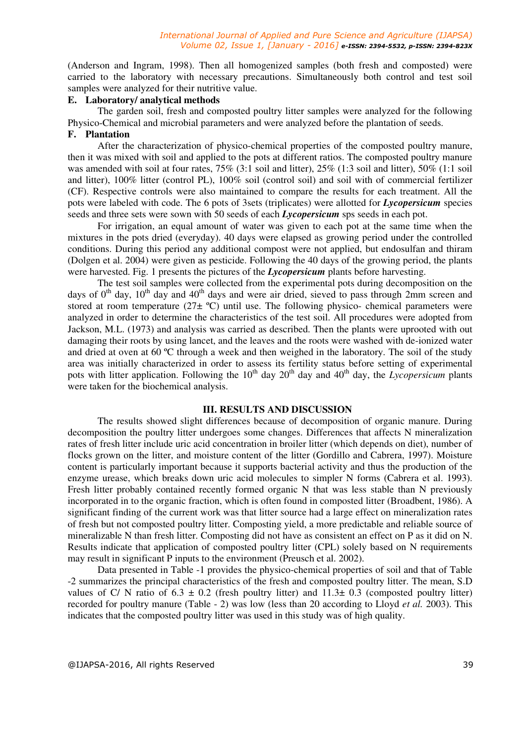(Anderson and Ingram, 1998). Then all homogenized samples (both fresh and composted) were carried to the laboratory with necessary precautions. Simultaneously both control and test soil samples were analyzed for their nutritive value.

### **E. Laboratory/ analytical methods**

The garden soil, fresh and composted poultry litter samples were analyzed for the following Physico-Chemical and microbial parameters and were analyzed before the plantation of seeds.

# **F. Plantation**

After the characterization of physico-chemical properties of the composted poultry manure, then it was mixed with soil and applied to the pots at different ratios. The composted poultry manure was amended with soil at four rates, 75% (3:1 soil and litter), 25% (1:3 soil and litter), 50% (1:1 soil and litter), 100% litter (control PL), 100% soil (control soil) and soil with of commercial fertilizer (CF). Respective controls were also maintained to compare the results for each treatment. All the pots were labeled with code. The 6 pots of 3sets (triplicates) were allotted for *Lycopersicum* species seeds and three sets were sown with 50 seeds of each *Lycopersicum* sps seeds in each pot.

For irrigation, an equal amount of water was given to each pot at the same time when the mixtures in the pots dried (everyday). 40 days were elapsed as growing period under the controlled conditions. During this period any additional compost were not applied, but endosulfan and thiram (Dolgen et al. 2004) were given as pesticide. Following the 40 days of the growing period, the plants were harvested. Fig. 1 presents the pictures of the *Lycopersicum* plants before harvesting.

The test soil samples were collected from the experimental pots during decomposition on the days of  $0<sup>th</sup>$  day,  $10<sup>th</sup>$  day and 40<sup>th</sup> days and were air dried, sieved to pass through 2mm screen and stored at room temperature  $(27\pm \text{°C})$  until use. The following physico- chemical parameters were analyzed in order to determine the characteristics of the test soil. All procedures were adopted from Jackson, M.L. (1973) and analysis was carried as described. Then the plants were uprooted with out damaging their roots by using lancet, and the leaves and the roots were washed with de-ionized water and dried at oven at 60 ºC through a week and then weighed in the laboratory. The soil of the study area was initially characterized in order to assess its fertility status before setting of experimental pots with litter application. Following the  $10^{th}$  day  $20^{th}$  day and  $40^{th}$  day, the *Lycopersicum* plants were taken for the biochemical analysis.

# **III. RESULTS AND DISCUSSION**

The results showed slight differences because of decomposition of organic manure. During decomposition the poultry litter undergoes some changes. Differences that affects N mineralization rates of fresh litter include uric acid concentration in broiler litter (which depends on diet), number of flocks grown on the litter, and moisture content of the litter (Gordillo and Cabrera, 1997). Moisture content is particularly important because it supports bacterial activity and thus the production of the enzyme urease, which breaks down uric acid molecules to simpler N forms (Cabrera et al. 1993). Fresh litter probably contained recently formed organic N that was less stable than N previously incorporated in to the organic fraction, which is often found in composted litter (Broadbent, 1986). A significant finding of the current work was that litter source had a large effect on mineralization rates of fresh but not composted poultry litter. Composting yield, a more predictable and reliable source of mineralizable N than fresh litter. Composting did not have as consistent an effect on P as it did on N. Results indicate that application of composted poultry litter (CPL) solely based on N requirements may result in significant P inputs to the environment (Preusch et al. 2002).

Data presented in Table -1 provides the physico-chemical properties of soil and that of Table -2 summarizes the principal characteristics of the fresh and composted poultry litter. The mean, S.D values of C/ N ratio of  $6.3 \pm 0.2$  (fresh poultry litter) and  $11.3\pm 0.3$  (composted poultry litter) recorded for poultry manure (Table - 2) was low (less than 20 according to Lloyd *et al.* 2003). This indicates that the composted poultry litter was used in this study was of high quality.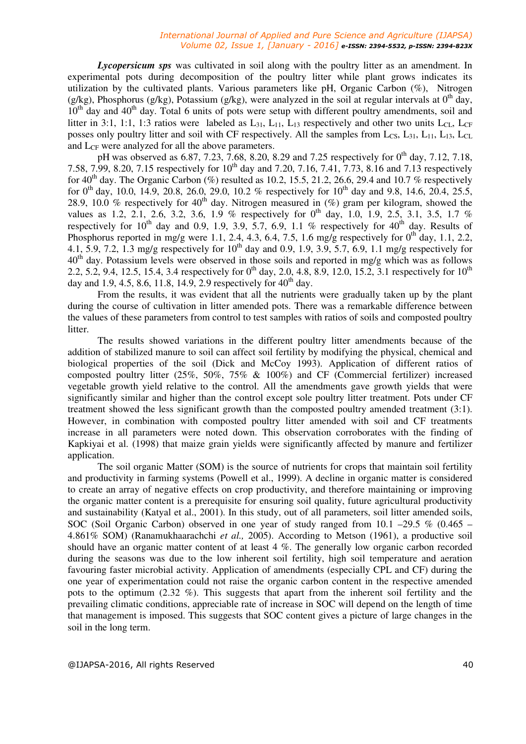*Lycopersicum sps* was cultivated in soil along with the poultry litter as an amendment. In experimental pots during decomposition of the poultry litter while plant grows indicates its utilization by the cultivated plants. Various parameters like pH, Organic Carbon  $(\%)$ , Nitrogen (g/kg), Phosphorus (g/kg), Potassium (g/kg), were analyzed in the soil at regular intervals at  $0<sup>th</sup>$  day,  $10<sup>th</sup>$  day and  $40<sup>th</sup>$  day. Total 6 units of pots were setup with different poultry amendments, soil and litter in 3:1, 1:1, 1:3 ratios were labeled as  $L_{31}$ ,  $L_{11}$ ,  $L_{13}$  respectively and other two units  $L_{CL}$ ,  $L_{CF}$ posses only poultry litter and soil with CF respectively. All the samples from  $L_{CS}$ ,  $L_{31}$ ,  $L_{11}$ ,  $L_{13}$ ,  $L_{CL}$ and  $L_{CF}$  were analyzed for all the above parameters.

pH was observed as 6.87, 7.23, 7.68, 8.20, 8.29 and 7.25 respectively for  $0^{th}$  day, 7.12, 7.18, 7.58, 7.99, 8.20, 7.15 respectively for 10<sup>th</sup> day and 7.20, 7.16, 7.41, 7.73, 8.16 and 7.13 respectively for 40<sup>th</sup> day. The Organic Carbon (%) resulted as 10.2, 15.5, 21.2, 26.6, 29.4 and 10.7 % respectively for  $0^{th}$  day, 10.0, 14.9, 20.8, 26.0, 29.0, 10.2 % respectively for  $10^{th}$  day and 9.8, 14.6, 20.4, 25.5, 28.9, 10.0 % respectively for 40th day. Nitrogen measured in (%) gram per kilogram, showed the values as 1.2, 2.1, 2.6, 3.2, 3.6, 1.9 % respectively for  $0^{th}$  day, 1.0, 1.9, 2.5, 3.1, 3.5, 1.7 % respectively for  $10^{th}$  day and 0.9, 1.9, 3.9, 5.7, 6.9, 1.1 % respectively for  $40^{th}$  day. Results of Phosphorus reported in mg/g were 1.1, 2.4, 4.3, 6.4, 7.5, 1.6 mg/g respectively for  $0<sup>th</sup>$  day, 1.1, 2.2, 4.1, 5.9, 7.2, 1.3 mg/g respectively for  $10^{th}$  day and 0.9, 1.9, 3.9, 5.7, 6.9, 1.1 mg/g respectively for  $40<sup>th</sup>$  day. Potassium levels were observed in those soils and reported in mg/g which was as follows 2.2, 5.2, 9.4, 12.5, 15.4, 3.4 respectively for  $0^{th}$  day, 2.0, 4.8, 8.9, 12.0, 15.2, 3.1 respectively for  $10^{th}$ day and 1.9, 4.5, 8.6, 11.8, 14.9, 2.9 respectively for  $40^{th}$  day.

From the results, it was evident that all the nutrients were gradually taken up by the plant during the course of cultivation in litter amended pots. There was a remarkable difference between the values of these parameters from control to test samples with ratios of soils and composted poultry litter.

The results showed variations in the different poultry litter amendments because of the addition of stabilized manure to soil can affect soil fertility by modifying the physical, chemical and biological properties of the soil (Dick and McCoy 1993). Application of different ratios of composted poultry litter (25%, 50%, 75% & 100%) and CF (Commercial fertilizer) increased vegetable growth yield relative to the control. All the amendments gave growth yields that were significantly similar and higher than the control except sole poultry litter treatment. Pots under CF treatment showed the less significant growth than the composted poultry amended treatment (3:1). However, in combination with composted poultry litter amended with soil and CF treatments increase in all parameters were noted down. This observation corroborates with the finding of Kapkiyai et al. (1998) that maize grain yields were significantly affected by manure and fertilizer application.

The soil organic Matter (SOM) is the source of nutrients for crops that maintain soil fertility and productivity in farming systems (Powell et al., 1999). A decline in organic matter is considered to create an array of negative effects on crop productivity, and therefore maintaining or improving the organic matter content is a prerequisite for ensuring soil quality, future agricultural productivity and sustainability (Katyal et al., 2001). In this study, out of all parameters, soil litter amended soils, SOC (Soil Organic Carbon) observed in one year of study ranged from 10.1 –29.5 % (0.465 – 4.861% SOM) (Ranamukhaarachchi *et al.,* 2005). According to Metson (1961), a productive soil should have an organic matter content of at least 4 %. The generally low organic carbon recorded during the seasons was due to the low inherent soil fertility, high soil temperature and aeration favouring faster microbial activity. Application of amendments (especially CPL and CF) during the one year of experimentation could not raise the organic carbon content in the respective amended pots to the optimum (2.32 %). This suggests that apart from the inherent soil fertility and the prevailing climatic conditions, appreciable rate of increase in SOC will depend on the length of time that management is imposed. This suggests that SOC content gives a picture of large changes in the soil in the long term.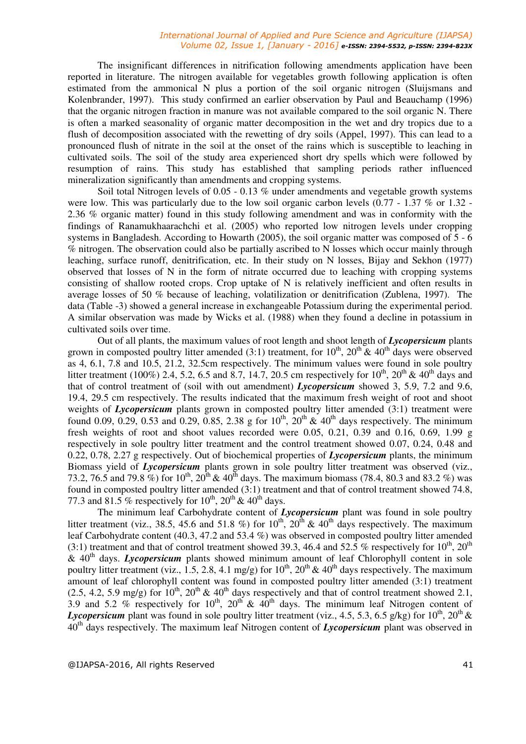The insignificant differences in nitrification following amendments application have been reported in literature. The nitrogen available for vegetables growth following application is often estimated from the ammonical N plus a portion of the soil organic nitrogen (Sluijsmans and Kolenbrander, 1997). This study confirmed an earlier observation by Paul and Beauchamp (1996) that the organic nitrogen fraction in manure was not available compared to the soil organic N. There is often a marked seasonality of organic matter decomposition in the wet and dry tropics due to a flush of decomposition associated with the rewetting of dry soils (Appel, 1997). This can lead to a pronounced flush of nitrate in the soil at the onset of the rains which is susceptible to leaching in cultivated soils. The soil of the study area experienced short dry spells which were followed by resumption of rains. This study has established that sampling periods rather influenced mineralization significantly than amendments and cropping systems.

Soil total Nitrogen levels of 0.05 - 0.13 % under amendments and vegetable growth systems were low. This was particularly due to the low soil organic carbon levels (0.77 - 1.37 % or 1.32 -2.36 % organic matter) found in this study following amendment and was in conformity with the findings of Ranamukhaarachchi et al. (2005) who reported low nitrogen levels under cropping systems in Bangladesh. According to Howarth (2005), the soil organic matter was composed of 5 - 6 % nitrogen. The observation could also be partially ascribed to N losses which occur mainly through leaching, surface runoff, denitrification, etc. In their study on N losses, Bijay and Sekhon (1977) observed that losses of N in the form of nitrate occurred due to leaching with cropping systems consisting of shallow rooted crops. Crop uptake of N is relatively inefficient and often results in average losses of 50 % because of leaching, volatilization or denitrification (Zublena, 1997). The data (Table -3) showed a general increase in exchangeable Potassium during the experimental period. A similar observation was made by Wicks et al. (1988) when they found a decline in potassium in cultivated soils over time.

Out of all plants, the maximum values of root length and shoot length of *Lycopersicum* plants grown in composted poultry litter amended (3:1) treatment, for  $10^{th}$ ,  $20^{th}$  &  $40^{th}$  days were observed as 4, 6.1, 7.8 and 10.5, 21.2, 32.5cm respectively. The minimum values were found in sole poultry litter treatment (100%) 2.4, 5.2, 6.5 and 8.7, 14.7, 20.5 cm respectively for  $10^{th}$ ,  $20^{th}$  &  $40^{th}$  days and that of control treatment of (soil with out amendment) *Lycopersicum* showed 3, 5.9, 7.2 and 9.6, 19.4, 29.5 cm respectively. The results indicated that the maximum fresh weight of root and shoot weights of *Lycopersicum* plants grown in composted poultry litter amended (3:1) treatment were found 0.09, 0.29, 0.53 and 0.29, 0.85, 2.38 g for  $10^{th}$ ,  $20^{th}$  &  $40^{th}$  days respectively. The minimum fresh weights of root and shoot values recorded were 0.05, 0.21, 0.39 and 0.16, 0.69, 1.99 g respectively in sole poultry litter treatment and the control treatment showed 0.07, 0.24, 0.48 and 0.22, 0.78, 2.27 g respectively. Out of biochemical properties of *Lycopersicum* plants, the minimum Biomass yield of *Lycopersicum* plants grown in sole poultry litter treatment was observed (viz., 73.2, 76.5 and 79.8 %) for  $10^{th}$ ,  $20^{th}$  &  $40^{th}$  days. The maximum biomass (78.4, 80.3 and 83.2 %) was found in composted poultry litter amended (3:1) treatment and that of control treatment showed 74.8, 77.3 and 81.5 % respectively for  $10^{th}$ ,  $20^{th}$  &  $40^{th}$  days.

The minimum leaf Carbohydrate content of *Lycopersicum* plant was found in sole poultry litter treatment (viz., 38.5, 45.6 and 51.8 %) for  $10^{th}$ ,  $20^{th}$  &  $40^{th}$  days respectively. The maximum leaf Carbohydrate content (40.3, 47.2 and 53.4 %) was observed in composted poultry litter amended (3:1) treatment and that of control treatment showed 39.3, 46.4 and 52.5 % respectively for  $10^{th}$ ,  $20^{th}$ & 40th days. *Lycopersicum* plants showed minimum amount of leaf Chlorophyll content in sole poultry litter treatment (viz., 1.5, 2.8, 4.1 mg/g) for  $10^{th}$ ,  $20^{th}$  &  $40^{th}$  days respectively. The maximum amount of leaf chlorophyll content was found in composted poultry litter amended (3:1) treatment (2.5, 4.2, 5.9 mg/g) for  $10^{th}$ ,  $20^{th}$  &  $40^{th}$  days respectively and that of control treatment showed 2.1, 3.9 and 5.2 % respectively for 10<sup>th</sup>, 20<sup>th</sup> & 40<sup>th</sup> days. The minimum leaf Nitrogen content of *Lycopersicum* plant was found in sole poultry litter treatment (viz., 4.5, 5.3, 6.5 g/kg) for  $10^{th}$ ,  $20^{th}$  & 40th days respectively. The maximum leaf Nitrogen content of *Lycopersicum* plant was observed in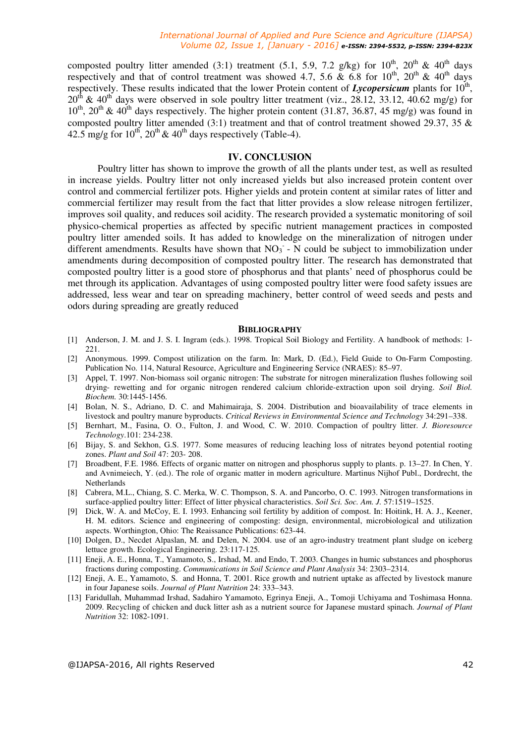composted poultry litter amended (3:1) treatment (5.1, 5.9, 7.2 g/kg) for  $10^{th}$ ,  $20^{th}$  &  $40^{th}$  days respectively and that of control treatment was showed 4.7, 5.6  $\&$  6.8 for 10<sup>th</sup>, 20<sup>th</sup>  $\&$  40<sup>th</sup> days respectively. These results indicated that the lower Protein content of *Lycopersicum* plants for 10<sup>th</sup>,  $20<sup>th</sup>$  & 40<sup>th</sup> days were observed in sole poultry litter treatment (viz., 28.12, 33.12, 40.62 mg/g) for  $10^{th}$ ,  $20^{th}$  &  $40^{th}$  days respectively. The higher protein content (31.87, 36.87, 45 mg/g) was found in composted poultry litter amended (3:1) treatment and that of control treatment showed 29.37, 35 & 42.5 mg/g for  $10^{th}$ ,  $20^{th}$  &  $40^{th}$  days respectively (Table-4).

#### **IV. CONCLUSION**

Poultry litter has shown to improve the growth of all the plants under test, as well as resulted in increase yields. Poultry litter not only increased yields but also increased protein content over control and commercial fertilizer pots. Higher yields and protein content at similar rates of litter and commercial fertilizer may result from the fact that litter provides a slow release nitrogen fertilizer, improves soil quality, and reduces soil acidity. The research provided a systematic monitoring of soil physico-chemical properties as affected by specific nutrient management practices in composted poultry litter amended soils. It has added to knowledge on the mineralization of nitrogen under different amendments. Results have shown that  $NO<sub>3</sub> - N$  could be subject to immobilization under amendments during decomposition of composted poultry litter. The research has demonstrated that composted poultry litter is a good store of phosphorus and that plants' need of phosphorus could be met through its application. Advantages of using composted poultry litter were food safety issues are addressed, less wear and tear on spreading machinery, better control of weed seeds and pests and odors during spreading are greatly reduced

#### **BIBLIOGRAPHY**

- [1] Anderson, J. M. and J. S. I. Ingram (eds.). 1998. Tropical Soil Biology and Fertility. A handbook of methods: 1- 221.
- [2] Anonymous. 1999. Compost utilization on the farm. In: Mark, D. (Ed.), Field Guide to On-Farm Composting. Publication No. 114, Natural Resource, Agriculture and Engineering Service (NRAES): 85–97.
- [3] Appel, T. 1997. Non-biomass soil organic nitrogen: The substrate for nitrogen mineralization flushes following soil drying- rewetting and for organic nitrogen rendered calcium chloride-extraction upon soil drying. *Soil Biol. Biochem.* 30:1445-1456.
- [4] Bolan, N. S., Adriano, D. C. and Mahimairaja, S. 2004. Distribution and bioavailability of trace elements in livestock and poultry manure byproducts. *Critical Reviews in Environmental Science and Technology* 34:291–338.
- [5] Bernhart, M., Fasina, O. O., Fulton, J. and Wood, C. W. 2010. Compaction of poultry litter. *J. Bioresource Technology*.101: 234-238.
- [6] Bijay, S. and Sekhon, G.S. 1977. Some measures of reducing leaching loss of nitrates beyond potential rooting zones. *Plant and Soil* 47: 203- 208.
- [7] Broadbent, F.E. 1986. Effects of organic matter on nitrogen and phosphorus supply to plants. p. 13–27. In Chen, Y. and Avnimeiech, Y. (ed.). The role of organic matter in modern agriculture. Martinus Nijhof Publ., Dordrecht, the Netherlands
- [8] Cabrera, M.L., Chiang, S. C. Merka, W. C. Thompson, S. A. and Pancorbo, O. C. 1993. Nitrogen transformations in surface-applied poultry litter: Effect of litter physical characteristics. *Soil Sci. Soc. Am. J.* 57:1519–1525.
- [9] Dick, W. A. and McCoy, E. I. 1993. Enhancing soil fertility by addition of compost. In: Hoitink, H. A. J., Keener, H. M. editors. Science and engineering of composting: design, environmental, microbiological and utilization aspects. Worthington, Ohio: The Reaissance Publications: 623-44.
- [10] Dolgen, D., Necdet Alpaslan, M. and Delen, N. 2004. use of an agro-industry treatment plant sludge on iceberg lettuce growth. Ecological Engineering. 23:117-125.
- [11] Eneji, A. E., Honna, T., Yamamoto, S., Irshad, M. and Endo, T. 2003. Changes in humic substances and phosphorus fractions during composting. *Communications in Soil Science and Plant Analysis* 34: 2303–2314.
- [12] Eneji, A. E., Yamamoto, S. and Honna, T. 2001. Rice growth and nutrient uptake as affected by livestock manure in four Japanese soils. *Journal of Plant Nutrition* 24: 333–343.
- [13] Faridullah, Muhammad Irshad, Sadahiro Yamamoto, Egrinya Eneji, A., Tomoji Uchiyama and Toshimasa Honna. 2009. Recycling of chicken and duck litter ash as a nutrient source for Japanese mustard spinach. *Journal of Plant Nutrition* 32: 1082-1091.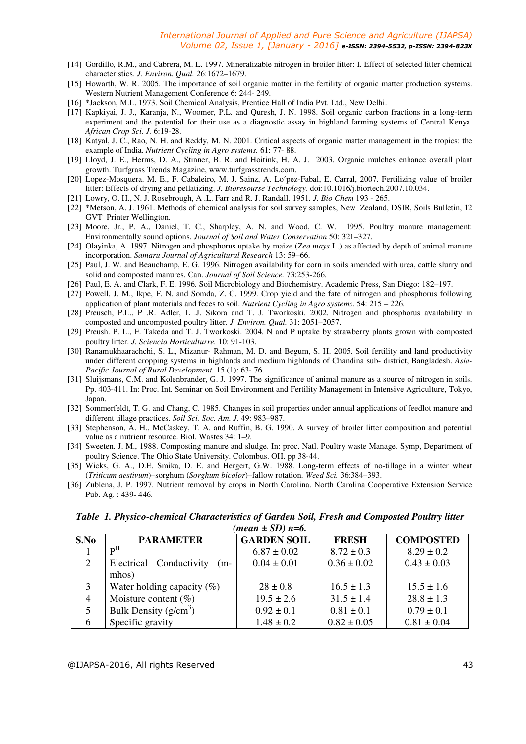- [14] Gordillo, R.M., and Cabrera, M. L. 1997. Mineralizable nitrogen in broiler litter: I. Effect of selected litter chemical characteristics. *J. Environ. Qual.* 26:1672–1679.
- [15] Howarth, W. R. 2005. The importance of soil organic matter in the fertility of organic matter production systems. Western Nutrient Management Conference 6: 244- 249.
- [16] \*Jackson, M.L. 1973. Soil Chemical Analysis, Prentice Hall of India Pvt. Ltd., New Delhi.
- [17] Kapkiyai, J. J., Karanja, N., Woomer, P.L. and Quresh, J. N. 1998. Soil organic carbon fractions in a long-term experiment and the potential for their use as a diagnostic assay in highland farming systems of Central Kenya. *African Crop Sci. J.* 6:19-28.
- [18] Katyal, J. C., Rao, N. H. and Reddy, M. N. 2001. Critical aspects of organic matter management in the tropics: the example of India. *Nutrient Cycling in Agro systems.* 61: 77- 88.
- [19] Lloyd, J. E., Herms, D. A., Stinner, B. R. and Hoitink, H. A. J. 2003. Organic mulches enhance overall plant growth. Turfgrass Trends Magazine, www.turfgrasstrends.com.
- [20] Lopez-Mosquera. M. E., F. Cabaleiro, M. J. Sainz, A. Lo´pez-Fabal, E. Carral, 2007. Fertilizing value of broiler litter: Effects of drying and pellatizing. *J. Bioresourse Technology*. doi:10.1016/j.biortech.2007.10.034.
- [21] Lowry, O. H., N. J. Rosebrough, A .L. Farr and R. J. Randall. 1951*. J. Bio Chem* 193 265.
- [22] \*Metson, A. J. 1961. Methods of chemical analysis for soil survey samples, New Zealand, DSIR, Soils Bulletin, 12 GVT Printer Wellington.
- [23] Moore, Jr., P. A., Daniel, T. C., Sharpley, A. N. and Wood, C. W. 1995. Poultry manure management: Environmentally sound options. *Journal of Soil and Water Conservation* 50: 321–327.
- [24] Olayinka, A. 1997. Nitrogen and phosphorus uptake by maize (Z*ea mays* L.) as affected by depth of animal manure incorporation. *Samaru Journal of Agricultural Research* 13: 59–66.
- [25] Paul, J. W. and Beauchamp, E. G. 1996. Nitrogen availability for corn in soils amended with urea, cattle slurry and solid and composted manures. Can. *Journal of Soil Science.* 73:253-266.
- [26] Paul, E. A. and Clark, F. E. 1996. Soil Microbiology and Biochemistry. Academic Press, San Diego: 182–197.
- [27] Powell, J. M., Ikpe, F. N. and Somda, Z. C. 1999. Crop yield and the fate of nitrogen and phosphorus following application of plant materials and feces to soil. *Nutrient Cycling in Agro systems*. 54: 215 – 226.
- [28] Preusch, P.L., P .R. Adler, L .J. Sikora and T. J. Tworkoski. 2002. Nitrogen and phosphorus availability in composted and uncomposted poultry litter. *J. Environ. Qual.* 31: 2051–2057.
- [29] Preush. P. L., F. Takeda and T. J. Tworkoski. 2004. N and P uptake by strawberry plants grown with composted poultry litter. *J. Sciencia Horticulturre.* 10: 91-103.
- [30] Ranamukhaarachchi, S. L., Mizanur- Rahman, M. D. and Begum, S. H. 2005. Soil fertility and land productivity under different cropping systems in highlands and medium highlands of Chandina sub- district, Bangladesh. *Asia-Pacific Journal of Rural Development.* 15 (1): 63- 76.
- [31] Sluijsmans, C.M. and Kolenbrander, G. J. 1997. The significance of animal manure as a source of nitrogen in soils. Pp. 403-411. In: Proc. Int. Seminar on Soil Environment and Fertility Management in Intensive Agriculture, Tokyo, Japan.
- [32] Sommerfeldt, T. G. and Chang, C. 1985. Changes in soil properties under annual applications of feedlot manure and different tillage practices. *Soil Sci. Soc. Am. J.* 49: 983–987.
- [33] Stephenson, A. H., McCaskey, T. A. and Ruffin, B. G. 1990. A survey of broiler litter composition and potential value as a nutrient resource. Biol. Wastes 34: 1–9.
- [34] Sweeten. J. M., 1988. Composting manure and sludge. In: proc. Natl. Poultry waste Manage. Symp, Department of poultry Science. The Ohio State University. Colombus. OH. pp 38-44.
- [35] Wicks, G. A., D.E. Smika, D. E. and Hergert, G.W. 1988. Long-term effects of no-tillage in a winter wheat (*Triticum aestivum*)–sorghum (*Sorghum bicolor*)–fallow rotation. *Weed Sci.* 36:384–393.
- [36] Zublena, J. P. 1997. Nutrient removal by crops in North Carolina. North Carolina Cooperative Extension Service Pub. Ag. : 439- 446.

*Table 1. Physico-chemical Characteristics of Garden Soil, Fresh and Composted Poultry litter (mean ± SD) n=6.* 

| S.No                        | <b>PARAMETER</b>                 | <b>GARDEN SOIL</b> | <b>FRESH</b>    | <b>COMPOSTED</b> |
|-----------------------------|----------------------------------|--------------------|-----------------|------------------|
|                             | $\mathbf{p}^{\mathrm{H}}$        | $6.87 \pm 0.02$    | $8.72 \pm 0.3$  | $8.29 \pm 0.2$   |
| $\mathcal{D}_{\mathcal{L}}$ | Electrical Conductivity<br>$(m-$ | $0.04 \pm 0.01$    | $0.36 \pm 0.02$ | $0.43 \pm 0.03$  |
|                             | mhos)                            |                    |                 |                  |
| 3                           | Water holding capacity $(\%)$    | $28 \pm 0.8$       | $16.5 \pm 1.3$  | $15.5 \pm 1.6$   |
| $\overline{4}$              | Moisture content $(\%)$          | $19.5 \pm 2.6$     | $31.5 \pm 1.4$  | $28.8 \pm 1.3$   |
|                             | Bulk Density $(g/cm^3)$          | $0.92 \pm 0.1$     | $0.81 \pm 0.1$  | $0.79 \pm 0.1$   |
| 6                           | Specific gravity                 | $1.48 \pm 0.2$     | $0.82 \pm 0.05$ | $0.81 \pm 0.04$  |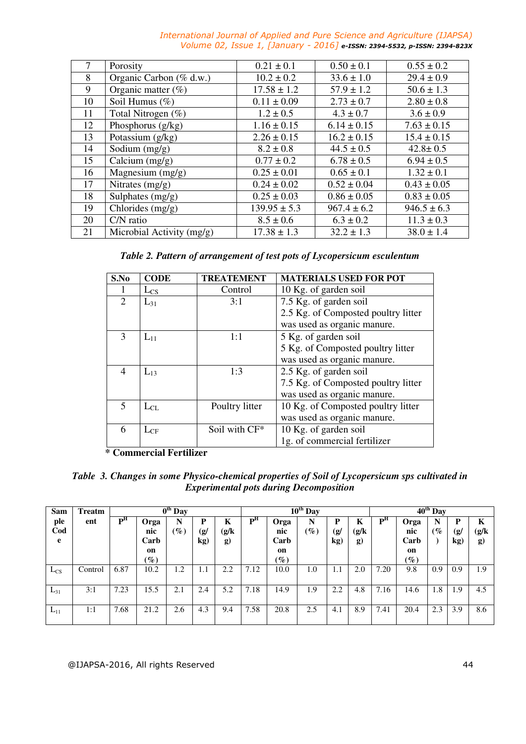| 7  | Porosity                  | $0.21 \pm 0.1$   | $0.50 \pm 0.1$  | $0.55 \pm 0.2$  |
|----|---------------------------|------------------|-----------------|-----------------|
| 8  | Organic Carbon (% d.w.)   | $10.2 \pm 0.2$   | $33.6 \pm 1.0$  | $29.4 \pm 0.9$  |
| 9  | Organic matter (%)        | $17.58 \pm 1.2$  | $57.9 \pm 1.2$  | $50.6 \pm 1.3$  |
| 10 | Soil Humus (%)            | $0.11 \pm 0.09$  | $2.73 \pm 0.7$  | $2.80 \pm 0.8$  |
| 11 | Total Nitrogen (%)        | $1.2 \pm 0.5$    | $4.3 \pm 0.7$   | $3.6 \pm 0.9$   |
| 12 | Phosphorus (g/kg)         | $1.16 \pm 0.15$  | $6.14 \pm 0.15$ | $7.63 \pm 0.15$ |
| 13 | Potassium (g/kg)          | $2.26 \pm 0.15$  | $16.2 \pm 0.15$ | $15.4 \pm 0.15$ |
| 14 | Sodium $(mg/g)$           | $8.2 \pm 0.8$    | $44.5 \pm 0.5$  | $42.8 \pm 0.5$  |
| 15 | Calcium $(mg/g)$          | $0.77 \pm 0.2$   | $6.78 \pm 0.5$  | $6.94 \pm 0.5$  |
| 16 | Magnesium $(mg/g)$        | $0.25 \pm 0.01$  | $0.65 \pm 0.1$  | $1.32 \pm 0.1$  |
| 17 | Nitrates $(mg/g)$         | $0.24 \pm 0.02$  | $0.52 \pm 0.04$ | $0.43 \pm 0.05$ |
| 18 | Sulphates (mg/g)          | $0.25 \pm 0.03$  | $0.86 \pm 0.05$ | $0.83 \pm 0.05$ |
| 19 | Chlorides $(mg/g)$        | $139.95 \pm 5.3$ | $967.4 \pm 6.2$ | $946.5 \pm 6.3$ |
| 20 | $C/N$ ratio               | $8.5 \pm 0.6$    | $6.3 \pm 0.2$   | $11.3 \pm 0.3$  |
| 21 | Microbial Activity (mg/g) | $17.38 \pm 1.3$  | $32.2 \pm 1.3$  | $38.0 \pm 1.4$  |

*Table 2. Pattern of arrangement of test pots of Lycopersicum esculentum* 

| S.No          | <b>CODE</b> | <b>TREATEMENT</b> | <b>MATERIALS USED FOR POT</b>       |
|---------------|-------------|-------------------|-------------------------------------|
|               | $L_{CS}$    | Control           | 10 Kg. of garden soil               |
| 2             | $L_{31}$    | 3:1               | 7.5 Kg. of garden soil              |
|               |             |                   | 2.5 Kg. of Composted poultry litter |
|               |             |                   | was used as organic manure.         |
| $\mathcal{F}$ | $L_{11}$    | 1:1               | 5 Kg. of garden soil                |
|               |             |                   | 5 Kg. of Composted poultry litter   |
|               |             |                   | was used as organic manure.         |
| 4             | $L_{13}$    | 1:3               | 2.5 Kg. of garden soil              |
|               |             |                   | 7.5 Kg. of Composted poultry litter |
|               |             |                   | was used as organic manure.         |
| 5             | $L_{CL}$    | Poultry litter    | 10 Kg. of Composted poultry litter  |
|               |             |                   | was used as organic manure.         |
| 6             | $L_{CF}$    | Soil with CF*     | 10 Kg. of garden soil               |
|               |             |                   | 1g. of commercial fertilizer        |

 **\* Commercial Fertilizer** 

*Table 3. Changes in some Physico-chemical properties of Soil of Lycopersicum sps cultivated in Experimental pots during Decomposition* 

| Sam             | Treatm  |                |                                              | $\overline{0^{th}}$ Day |                 |                        | $10^{th}$ Day  |                                              |                      |                           |                          | $40^{th}$ Day  |                                              |                  |                 |                            |
|-----------------|---------|----------------|----------------------------------------------|-------------------------|-----------------|------------------------|----------------|----------------------------------------------|----------------------|---------------------------|--------------------------|----------------|----------------------------------------------|------------------|-----------------|----------------------------|
| ple<br>Cod<br>e | ent     | P <sub>H</sub> | Orga<br>nic<br>Carb<br>on<br>$\mathscr{G}_o$ | N<br>$\mathscr{G}_o$    | P<br>(g/<br>kg) | K<br>(g/k)<br>$\bf{g}$ | P <sup>H</sup> | Orga<br>nic<br>Carb<br>on<br>$\mathscr{C}_o$ | N<br>$\mathscr{G}_o$ | P<br>$\mathbf{g}/$<br>kg) | K<br>(g/k)<br><b>g</b> ) | P <sup>H</sup> | Orga<br>nic<br>Carb<br>on<br>$\mathscr{G}_o$ | N<br>(% $\sigma$ | D<br>(ย/<br>kg) | K<br>(g/k)<br>$\mathbf{g}$ |
| $L_{CS}$        | Control | 6.87           | 10.2                                         | 1.2                     | 1.1             | 2.2                    | 7.12           | 10.0                                         | 1.0                  | 1.1                       | 2.0                      | 7.20           | 9.8                                          | 0.9              | 0.9             | 1.9                        |
| $L_{31}$        | 3:1     | 7.23           | 15.5                                         | 2.1                     | 2.4             | 5.2                    | 7.18           | 14.9                                         | 1.9                  | 2.2                       | 4.8                      | 7.16           | 14.6                                         | 1.8              | 1.9             | 4.5                        |
| T.<br>$L_{11}$  | 1:1     | 7.68           | 21.2                                         | 2.6                     | 4.3             | 9.4                    | 7.58           | 20.8                                         | 2.5                  | 4.1                       | 8.9                      | 7<br>7.41      | 20.4                                         | 2.3              | 3.9             | 8.6                        |

@IJAPSA-2016, All rights Reserved 44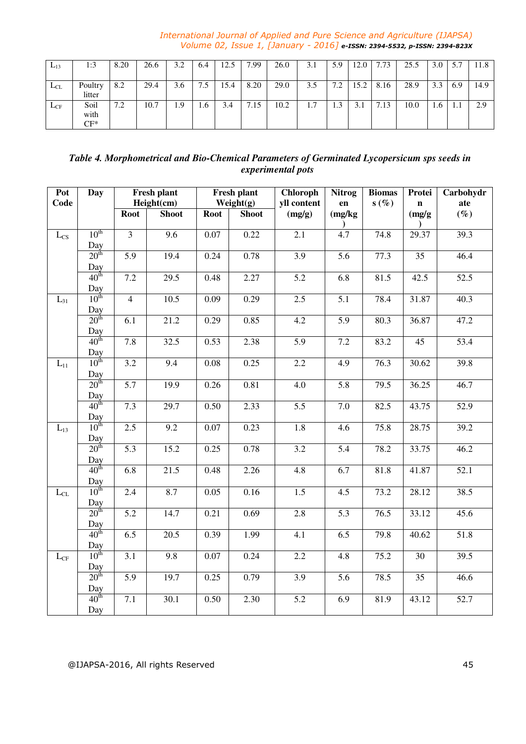| $L_{13}$ | 1:3                       | 8.20 | 26.6 | 3.2 | 6.4 | 12.5 | 7.99 | 26.0 | 3.1 | 5.9                    | 12.0 | 7.73                             | 25.5 | 3.0 | 5.7 | 11.8 |
|----------|---------------------------|------|------|-----|-----|------|------|------|-----|------------------------|------|----------------------------------|------|-----|-----|------|
| $L_{CL}$ | Poultry<br>litter         | 8.2  | 29.4 | 3.6 | 7.5 | 15.4 | 8.20 | 29.0 | 3.5 | 72<br>$\overline{1}$ . | 15.2 | 8.16                             | 28.9 | 3.3 | 6.9 | 14.9 |
| $L_{CF}$ | Soil<br>with<br>$\cap$ F* | 7.2  | 10.7 | 1.9 | 1.6 | 3.4  | 7.15 | 10.2 | 1.7 | 1.3                    | 3.1  | $\overline{\phantom{a}}$<br>7.13 | 10.0 | 1.6 | .   | 2.9  |

# *Table 4. Morphometrical and Bio-Chemical Parameters of Germinated Lycopersicum sps seeds in experimental pots*

| Pot<br>Code               | <b>Day</b>              |                  | Fresh plant<br>Height(cm) |             | <b>Fresh plant</b><br>Weight $(g)$ | <b>Chloroph</b><br>yll content | <b>Nitrog</b><br>en | <b>Biomas</b><br>s(%) | Protei<br>n | Carbohydr<br>ate  |
|---------------------------|-------------------------|------------------|---------------------------|-------------|------------------------------------|--------------------------------|---------------------|-----------------------|-------------|-------------------|
|                           |                         | <b>Root</b>      | <b>Shoot</b>              | <b>Root</b> | <b>Shoot</b>                       | (mg/g)                         | (mg/kg)             |                       | (mg/g)      | $(\%)$            |
| $L_{CS}$                  | 10 <sup>th</sup>        | $\overline{3}$   | $\overline{9.6}$          | 0.07        | 0.22                               | 2.1                            | 4.7                 | 74.8                  | 29.37       | 39.3              |
|                           | $\frac{Day}{20^{th}}$   |                  |                           |             |                                    |                                |                     |                       |             |                   |
|                           |                         | $\overline{5.9}$ | 19.4                      | 0.24        | 0.78                               | 3.9                            | $\overline{5.6}$    | 77.3                  | 35          | 46.4              |
|                           | $\frac{Day}{40^{th}}$   |                  |                           |             |                                    |                                |                     |                       |             |                   |
|                           |                         | 7.2              | 29.5                      | 0.48        | 2.27                               | 5.2                            | 6.8                 | 81.5                  | 42.5        | $\overline{52.5}$ |
|                           | $\frac{Day}{10^{th}}$   | $\overline{4}$   |                           |             |                                    |                                | $\overline{5.1}$    | 78.4                  |             |                   |
| $L_{31}$                  |                         |                  | 10.5                      | 0.09        | 0.29                               | $2.5\,$                        |                     |                       | 31.87       | 40.3              |
|                           | Day<br>20 <sup>th</sup> | 6.1              | 21.2                      | 0.29        | 0.85                               | 4.2                            | 5.9                 | 80.3                  | 36.87       | 47.2              |
|                           |                         |                  |                           |             |                                    |                                |                     |                       |             |                   |
|                           | $\frac{Day}{40^{th}}$   | 7.8              | 32.5                      | 0.53        | 2.38                               | 5.9                            | 7.2                 | 83.2                  | 45          | 53.4              |
|                           |                         |                  |                           |             |                                    |                                |                     |                       |             |                   |
| $L_{11}$                  | $\frac{Day}{10^{th}}$   | 3.2              | 9.4                       | 0.08        | 0.25                               | 2.2                            | 4.9                 | 76.3                  | 30.62       | 39.8              |
|                           | $\frac{Day}{20^{th}}$   |                  |                           |             |                                    |                                |                     |                       |             |                   |
|                           |                         | 5.7              | 19.9                      | 0.26        | 0.81                               | 4.0                            | 5.8                 | 79.5                  | 36.25       | 46.7              |
|                           | $\frac{Day}{40^{th}}$   |                  |                           |             |                                    |                                |                     |                       |             |                   |
|                           |                         | 7.3              | 29.7                      | 0.50        | 2.33                               | 5.5                            | $7.0\,$             | 82.5                  | 43.75       | 52.9              |
|                           | Day<br>$10^{\text{th}}$ |                  |                           |             |                                    |                                |                     |                       |             |                   |
| $L_{13}$                  |                         | 2.5              | 9.2                       | 0.07        | 0.23                               | 1.8                            | 4.6                 | 75.8                  | 28.75       | 39.2              |
|                           | $\frac{Day}{20^{th}}$   | $\overline{5.3}$ | 15.2                      | 0.25        | 0.78                               | 3.2                            | $\overline{5.4}$    | 78.2                  | 33.75       | 46.2              |
|                           |                         |                  |                           |             |                                    |                                |                     |                       |             |                   |
|                           | $\frac{Day}{40^{th}}$   | 6.8              | $\overline{21.5}$         | 0.48        | 2.26                               | 4.8                            | $\overline{6.7}$    | 81.8                  | 41.87       | 52.1              |
|                           |                         |                  |                           |             |                                    |                                |                     |                       |             |                   |
| $L_{CL}$                  | $\frac{Day}{10^{th}}$   | 2.4              | 8.7                       | 0.05        | 0.16                               | $\overline{1.5}$               | $\overline{4.5}$    | 73.2                  | 28.12       | 38.5              |
|                           | $\frac{Day}{20^{th}}$   |                  |                           |             |                                    |                                |                     |                       |             |                   |
|                           |                         | 5.2              | 14.7                      | 0.21        | 0.69                               | 2.8                            | 5.3                 | 76.5                  | 33.12       | 45.6              |
|                           | $\frac{Day}{40^{th}}$   |                  |                           |             |                                    |                                |                     |                       |             |                   |
|                           |                         | 6.5              | 20.5                      | 0.39        | 1.99                               | 4.1                            | 6.5                 | 79.8                  | 40.62       | $\overline{51.8}$ |
|                           | $\frac{Day}{10^{th}}$   |                  |                           |             |                                    |                                |                     |                       |             |                   |
| $\mathcal{L}_{\text{CF}}$ |                         | 3.1              | 9.8                       | 0.07        | 0.24                               | 2.2                            | 4.8                 | 75.2                  | 30          | 39.5              |
|                           | $\frac{Day}{20^{th}}$   | 5.9              | 19.7                      | 0.25        | 0.79                               | 3.9                            | 5.6                 | 78.5                  | 35          | 46.6              |
|                           |                         |                  |                           |             |                                    |                                |                     |                       |             |                   |
|                           | $\frac{Day}{40^{th}}$   | $7.1\,$          | 30.1                      | 0.50        | 2.30                               | 5.2                            | 6.9                 | 81.9                  | 43.12       | 52.7              |
|                           | Day                     |                  |                           |             |                                    |                                |                     |                       |             |                   |